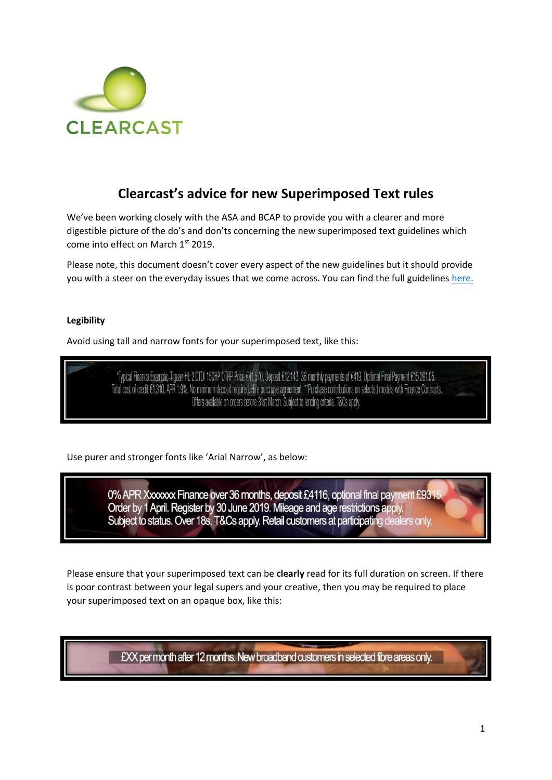

# **Clearcast's advice for new Superimposed Text rules**

We've been working closely with the ASA and BCAP to provide you with a clearer and more digestible picture of the do's and don'ts concerning the new superimposed text guidelines which come into effect on March 1st 2019.

Please note, this document doesn't cover every aspect of the new guidelines but it should provide you with a steer on the everyday issues that we come across. You can find the full guidelines [here.](https://www.asa.org.uk/resource/cap-s-regulatory-statement-on-superimposed-text.html)

# **Legibility**

Avoid using tall and narrow fonts for your superimposed text, like this:

\*Typical Finance Example; Tiguan HL 2.0TDI 150HP OTRP Price €41,570. Deposit €12,143. 36 monthly payments of €419. Optional Final Payment €15,091.05. Total cost of credit €1,310. APR 1.9%. No minimum deposit required. Hire purchase agreement. \*\*Purchase contributions on selected models with Finance Contracts. Offers available on orders before 31st March. Subject to lending criteria. T&Cs apply.

Use purer and stronger fonts like 'Arial Narrow', as below:

0% APR Xxxxxx Finance over 36 months, deposit £4116, optional final payment £9315 Order by 1 April. Register by 30 June 2019. Mileage and age restrictions apply. Subject to status. Over 18s. T&Cs apply. Retail customers at participating dealers only.

Please ensure that your superimposed text can be **clearly** read for its full duration on screen. If there is poor contrast between your legal supers and your creative, then you may be required to place your superimposed text on an opaque box, like this:

£XX per month after 12 months. New broadband customers in selected fibre areas only.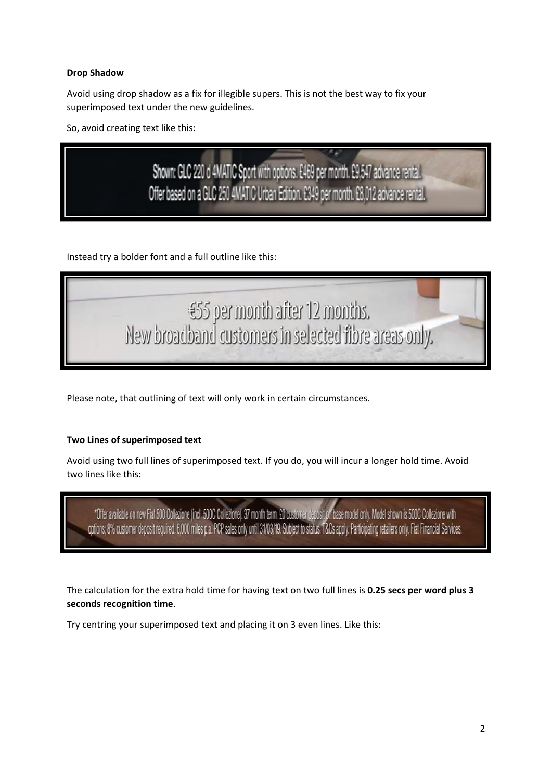# **Drop Shadow**

Avoid using drop shadow as a fix for illegible supers. This is not the best way to fix your superimposed text under the new guidelines.

So, avoid creating text like this:

Shown: GLC 220 d 4MATIC Sport with options. £469 per month. £9,547 advance rental. Offer based on a GLC 250 4MATIC Urban Edition. £349 per month. £8,012 advance rental.

Instead try a bolder font and a full outline like this:



Please note, that outlining of text will only work in certain circumstances.

# **Two Lines of superimposed text**

Avoid using two full lines of superimposed text. If you do, you will incur a longer hold time. Avoid two lines like this:

\*Offer available on new Fiat 500 Collezione (incl. 500C Collezione). 37 month term. £0 customer deposit on base model only. Model shown is 500C Collezione with options; 8% customer deposit required. 6,000 miles p.a. PCP sa

The calculation for the extra hold time for having text on two full lines is **0.25 secs per word plus 3 seconds recognition time**.

Try centring your superimposed text and placing it on 3 even lines. Like this: